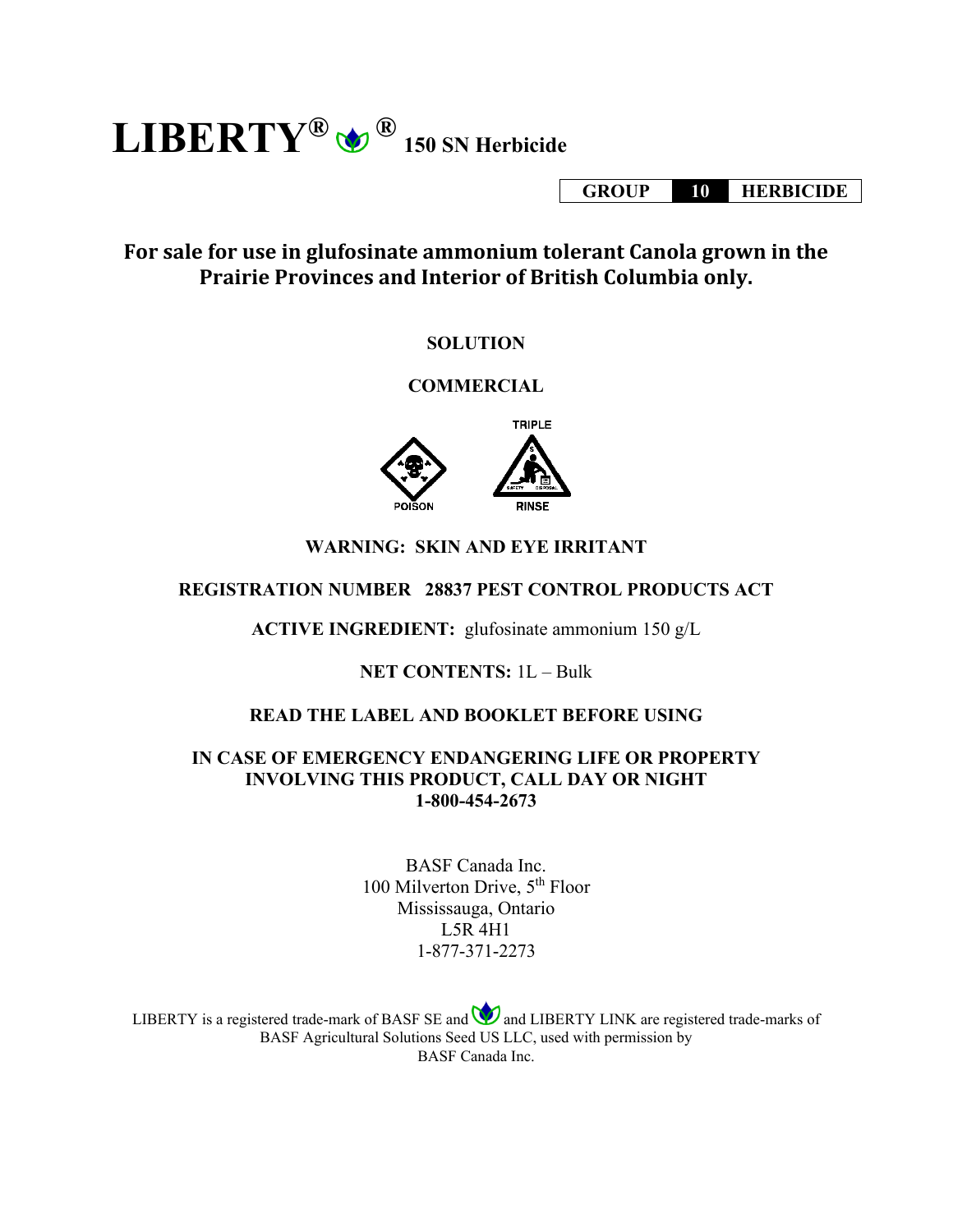$\mathbf{LIBERTY}^{\circledR}$   $\bigcirc$   $^{\circledR}$  150 SN Herbicide

**GROUP 10 HERBICIDE**

# **For sale for use in glufosinate ammonium tolerant Canola grown in the Prairie Provinces and Interior of British Columbia only.**

## **SOLUTION**

# **COMMERCIAL**



# **WARNING: SKIN AND EYE IRRITANT**

## **REGISTRATION NUMBER 28837 PEST CONTROL PRODUCTS ACT**

**ACTIVE INGREDIENT:** glufosinate ammonium 150 g/L

## **NET CONTENTS:** 1L – Bulk

## **READ THE LABEL AND BOOKLET BEFORE USING**

## **IN CASE OF EMERGENCY ENDANGERING LIFE OR PROPERTY INVOLVING THIS PRODUCT, CALL DAY OR NIGHT 1-800-454-2673**

BASF Canada Inc. 100 Milverton Drive, 5th Floor Mississauga, Ontario L5R 4H1 1-877-371-2273

LIBERTY is a registered trade-mark of BASF SE and  $\bigcirc$  and LIBERTY LINK are registered trade-marks of BASF Agricultural Solutions Seed US LLC, used with permission by BASF Canada Inc.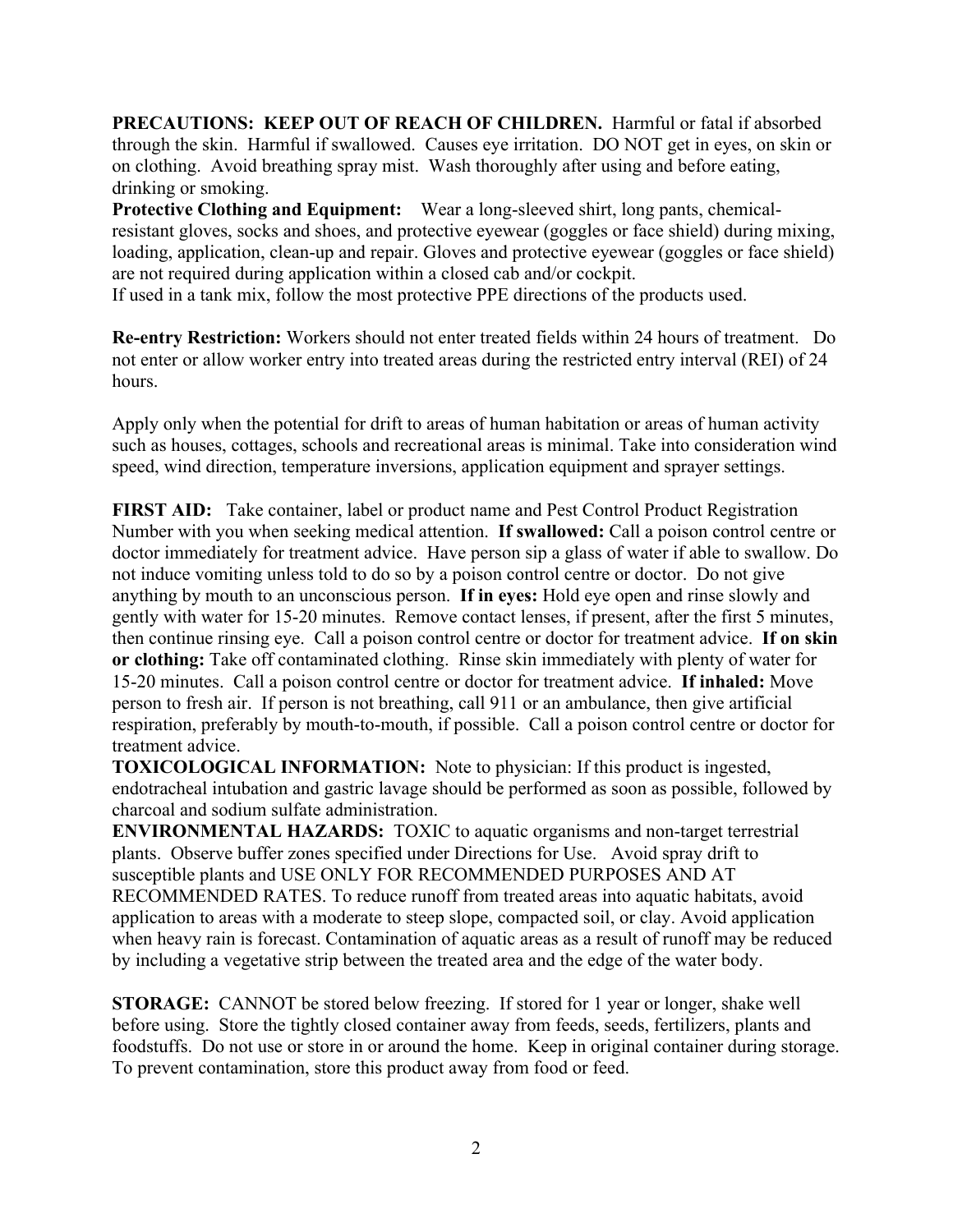**PRECAUTIONS: KEEP OUT OF REACH OF CHILDREN.** Harmful or fatal if absorbed through the skin. Harmful if swallowed. Causes eye irritation. DO NOT get in eyes, on skin or on clothing. Avoid breathing spray mist. Wash thoroughly after using and before eating, drinking or smoking.

**Protective Clothing and Equipment:** Wear a long-sleeved shirt, long pants, chemicalresistant gloves, socks and shoes, and protective eyewear (goggles or face shield) during mixing, loading, application, clean-up and repair. Gloves and protective eyewear (goggles or face shield) are not required during application within a closed cab and/or cockpit.

If used in a tank mix, follow the most protective PPE directions of the products used.

**Re-entry Restriction:** Workers should not enter treated fields within 24 hours of treatment. Do not enter or allow worker entry into treated areas during the restricted entry interval (REI) of 24 hours.

Apply only when the potential for drift to areas of human habitation or areas of human activity such as houses, cottages, schools and recreational areas is minimal. Take into consideration wind speed, wind direction, temperature inversions, application equipment and sprayer settings.

**FIRST AID:** Take container, label or product name and Pest Control Product Registration Number with you when seeking medical attention. **If swallowed:** Call a poison control centre or doctor immediately for treatment advice. Have person sip a glass of water if able to swallow. Do not induce vomiting unless told to do so by a poison control centre or doctor. Do not give anything by mouth to an unconscious person. **If in eyes:** Hold eye open and rinse slowly and gently with water for 15-20 minutes. Remove contact lenses, if present, after the first 5 minutes, then continue rinsing eye. Call a poison control centre or doctor for treatment advice. **If on skin or clothing:** Take off contaminated clothing. Rinse skin immediately with plenty of water for 15-20 minutes. Call a poison control centre or doctor for treatment advice. **If inhaled:** Move person to fresh air. If person is not breathing, call 911 or an ambulance, then give artificial respiration, preferably by mouth-to-mouth, if possible. Call a poison control centre or doctor for treatment advice.

**TOXICOLOGICAL INFORMATION:** Note to physician: If this product is ingested, endotracheal intubation and gastric lavage should be performed as soon as possible, followed by charcoal and sodium sulfate administration.

**ENVIRONMENTAL HAZARDS:** TOXIC to aquatic organisms and non-target terrestrial plants. Observe buffer zones specified under Directions for Use. Avoid spray drift to susceptible plants and USE ONLY FOR RECOMMENDED PURPOSES AND AT RECOMMENDED RATES. To reduce runoff from treated areas into aquatic habitats, avoid application to areas with a moderate to steep slope, compacted soil, or clay. Avoid application when heavy rain is forecast. Contamination of aquatic areas as a result of runoff may be reduced by including a vegetative strip between the treated area and the edge of the water body.

**STORAGE:** CANNOT be stored below freezing. If stored for 1 year or longer, shake well before using. Store the tightly closed container away from feeds, seeds, fertilizers, plants and foodstuffs. Do not use or store in or around the home. Keep in original container during storage. To prevent contamination, store this product away from food or feed.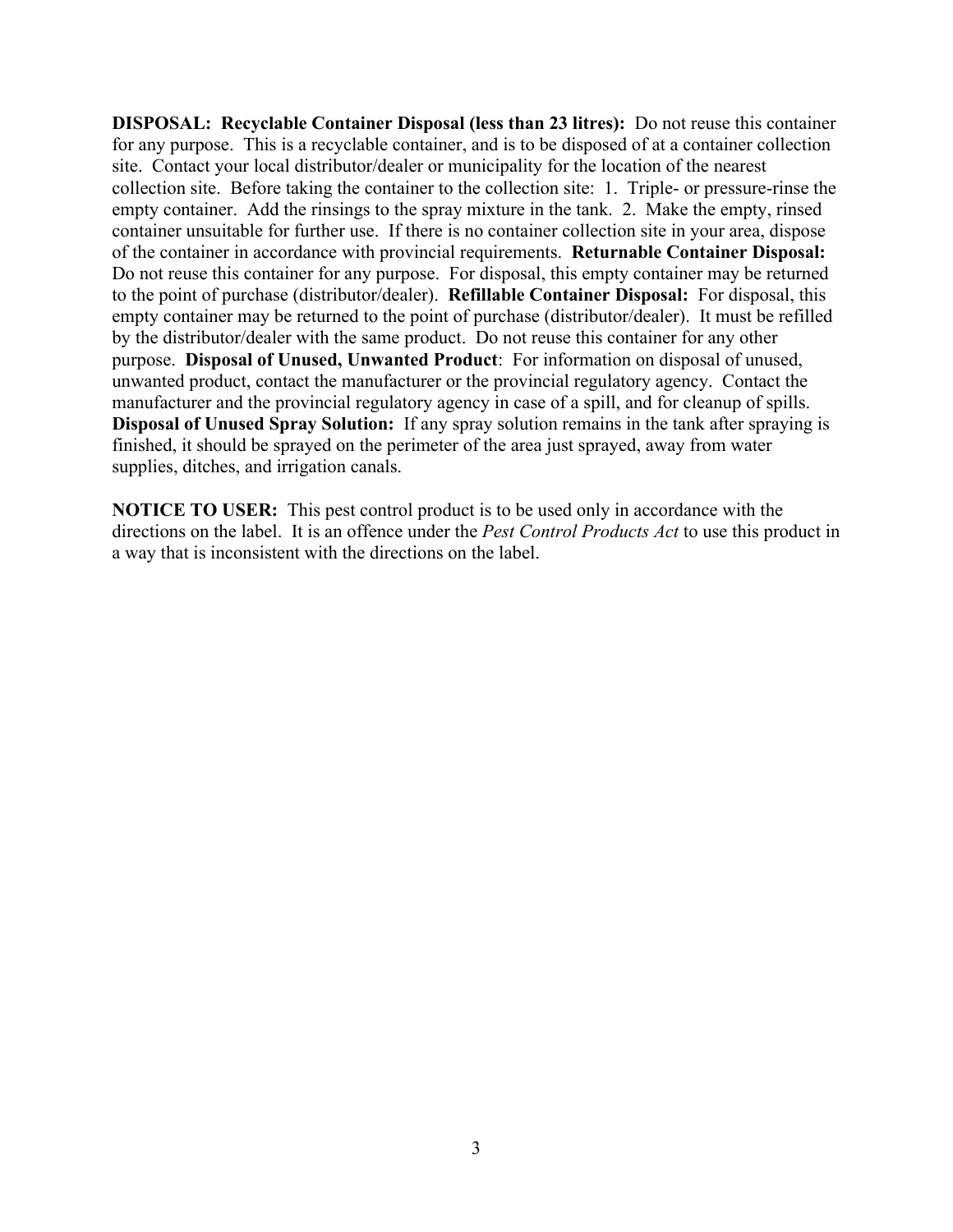**DISPOSAL: Recyclable Container Disposal (less than 23 litres):** Do not reuse this container for any purpose. This is a recyclable container, and is to be disposed of at a container collection site. Contact your local distributor/dealer or municipality for the location of the nearest collection site. Before taking the container to the collection site: 1. Triple- or pressure-rinse the empty container. Add the rinsings to the spray mixture in the tank. 2. Make the empty, rinsed container unsuitable for further use. If there is no container collection site in your area, dispose of the container in accordance with provincial requirements. **Returnable Container Disposal:** Do not reuse this container for any purpose. For disposal, this empty container may be returned to the point of purchase (distributor/dealer). **Refillable Container Disposal:** For disposal, this empty container may be returned to the point of purchase (distributor/dealer). It must be refilled by the distributor/dealer with the same product. Do not reuse this container for any other purpose. **Disposal of Unused, Unwanted Product**: For information on disposal of unused, unwanted product, contact the manufacturer or the provincial regulatory agency. Contact the manufacturer and the provincial regulatory agency in case of a spill, and for cleanup of spills. **Disposal of Unused Spray Solution:** If any spray solution remains in the tank after spraying is finished, it should be sprayed on the perimeter of the area just sprayed, away from water supplies, ditches, and irrigation canals.

**NOTICE TO USER:** This pest control product is to be used only in accordance with the directions on the label. It is an offence under the *Pest Control Products Act* to use this product in a way that is inconsistent with the directions on the label.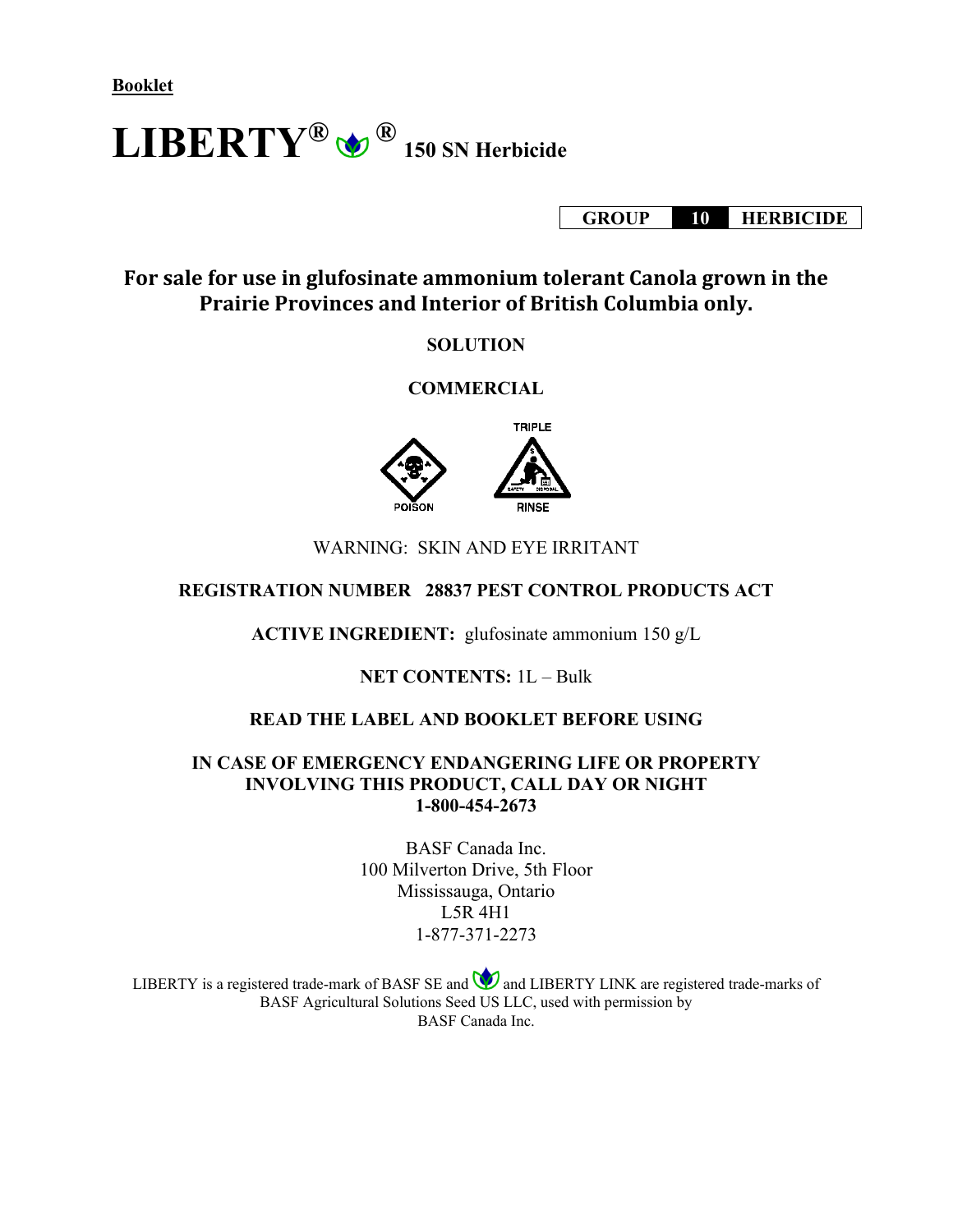**Booklet**

 $\mathbf{LIBERTY}^{\circledR}$   $\bigcirc$   $^{\circledR}$  150 SN Herbicide

**GROUP 10 HERBICIDE**

**For sale for use in glufosinate ammonium tolerant Canola grown in the Prairie Provinces and Interior of British Columbia only.**

#### **SOLUTION**

#### **COMMERCIAL**



#### WARNING: SKIN AND EYE IRRITANT

#### **REGISTRATION NUMBER 28837 PEST CONTROL PRODUCTS ACT**

**ACTIVE INGREDIENT:** glufosinate ammonium 150 g/L

**NET CONTENTS:** 1L – Bulk

## **READ THE LABEL AND BOOKLET BEFORE USING**

#### **IN CASE OF EMERGENCY ENDANGERING LIFE OR PROPERTY INVOLVING THIS PRODUCT, CALL DAY OR NIGHT 1-800-454-2673**

BASF Canada Inc. 100 Milverton Drive, 5th Floor Mississauga, Ontario L5R 4H1 1-877-371-2273

LIBERTY is a registered trade-mark of BASF SE and  $\bigcirc$  and LIBERTY LINK are registered trade-marks of BASF Agricultural Solutions Seed US LLC, used with permission by BASF Canada Inc.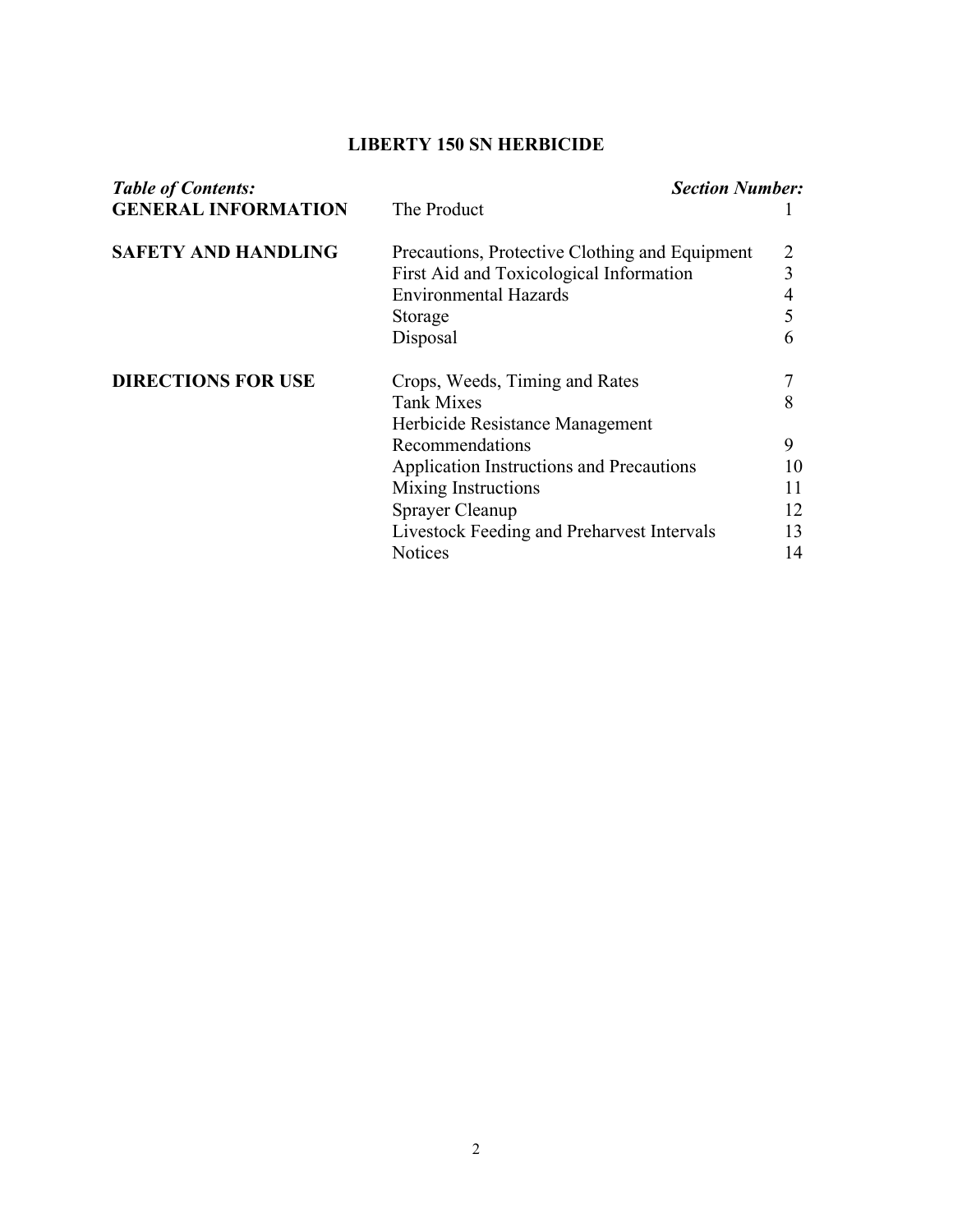# **LIBERTY 150 SN HERBICIDE**

| <b>Table of Contents:</b>  | <b>Section Number:</b>                         |    |  |  |  |
|----------------------------|------------------------------------------------|----|--|--|--|
| <b>GENERAL INFORMATION</b> | The Product                                    |    |  |  |  |
| <b>SAFETY AND HANDLING</b> | Precautions, Protective Clothing and Equipment |    |  |  |  |
|                            | First Aid and Toxicological Information        | 3  |  |  |  |
|                            | <b>Environmental Hazards</b>                   | 4  |  |  |  |
|                            | Storage                                        | 5  |  |  |  |
|                            | Disposal                                       | 6  |  |  |  |
| <b>DIRECTIONS FOR USE</b>  | Crops, Weeds, Timing and Rates                 |    |  |  |  |
|                            | <b>Tank Mixes</b>                              | 8  |  |  |  |
|                            | Herbicide Resistance Management                |    |  |  |  |
|                            | Recommendations                                | 9  |  |  |  |
|                            | Application Instructions and Precautions       | 10 |  |  |  |
|                            | Mixing Instructions                            | 11 |  |  |  |
|                            | Sprayer Cleanup                                | 12 |  |  |  |
|                            | Livestock Feeding and Preharvest Intervals     | 13 |  |  |  |
|                            | <b>Notices</b>                                 | 14 |  |  |  |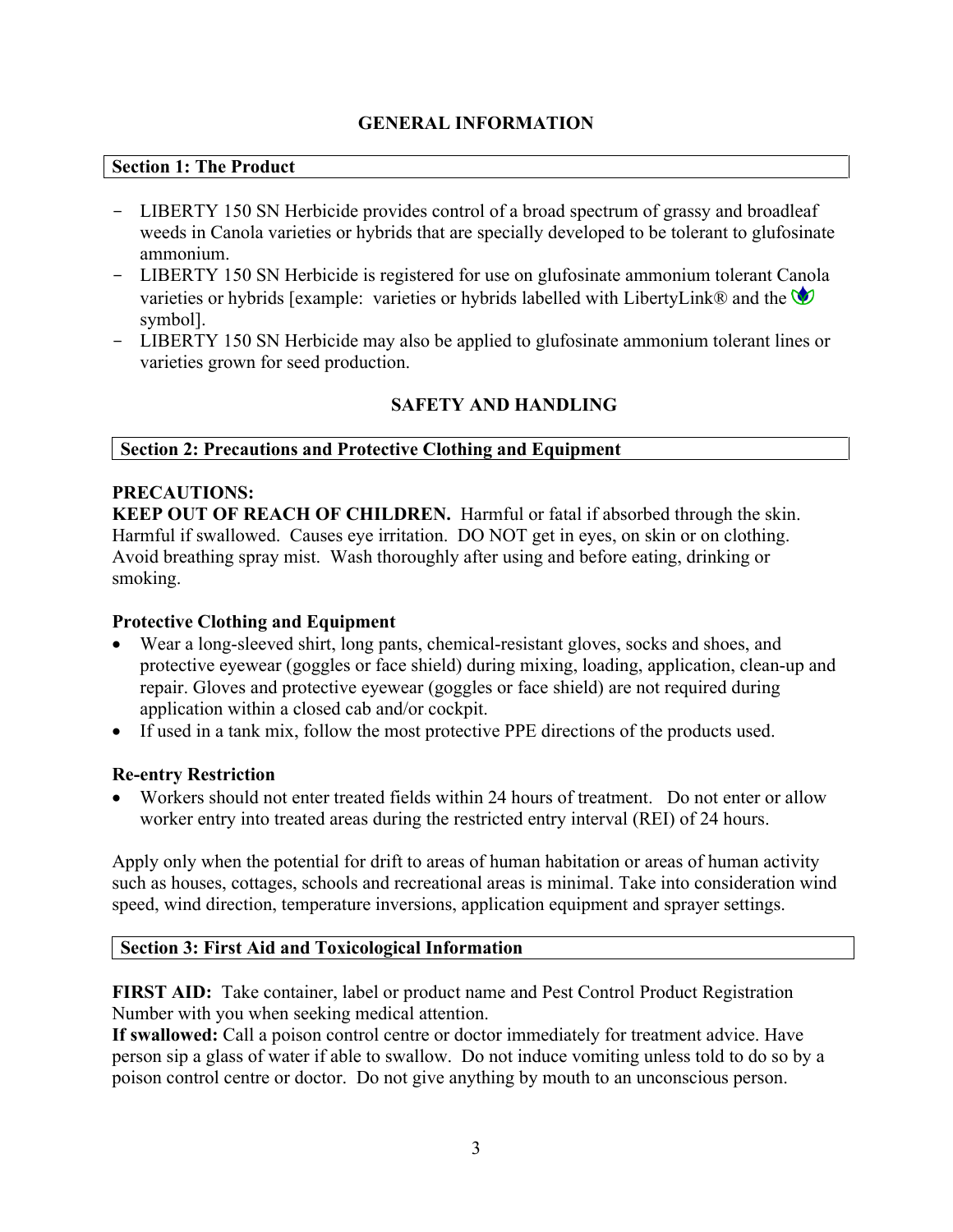## **GENERAL INFORMATION**

#### **Section 1: The Product**

- LIBERTY 150 SN Herbicide provides control of a broad spectrum of grassy and broadleaf weeds in Canola varieties or hybrids that are specially developed to be tolerant to glufosinate ammonium.
- LIBERTY 150 SN Herbicide is registered for use on glufosinate ammonium tolerant Canola varieties or hybrids [example: varieties or hybrids labelled with LibertyLink® and the  $\bullet$ symbol].
- LIBERTY 150 SN Herbicide may also be applied to glufosinate ammonium tolerant lines or varieties grown for seed production.

# **SAFETY AND HANDLING**

## **Section 2: Precautions and Protective Clothing and Equipment**

## **PRECAUTIONS:**

**KEEP OUT OF REACH OF CHILDREN.** Harmful or fatal if absorbed through the skin. Harmful if swallowed. Causes eye irritation. DO NOT get in eyes, on skin or on clothing. Avoid breathing spray mist. Wash thoroughly after using and before eating, drinking or smoking.

## **Protective Clothing and Equipment**

- Wear a long-sleeved shirt, long pants, chemical-resistant gloves, socks and shoes, and protective eyewear (goggles or face shield) during mixing, loading, application, clean-up and repair. Gloves and protective eyewear (goggles or face shield) are not required during application within a closed cab and/or cockpit.
- If used in a tank mix, follow the most protective PPE directions of the products used.

## **Re-entry Restriction**

• Workers should not enter treated fields within 24 hours of treatment. Do not enter or allow worker entry into treated areas during the restricted entry interval (REI) of 24 hours.

Apply only when the potential for drift to areas of human habitation or areas of human activity such as houses, cottages, schools and recreational areas is minimal. Take into consideration wind speed, wind direction, temperature inversions, application equipment and sprayer settings.

## **Section 3: First Aid and Toxicological Information**

**FIRST AID:** Take container, label or product name and Pest Control Product Registration Number with you when seeking medical attention.

**If swallowed:** Call a poison control centre or doctor immediately for treatment advice. Have person sip a glass of water if able to swallow. Do not induce vomiting unless told to do so by a poison control centre or doctor. Do not give anything by mouth to an unconscious person.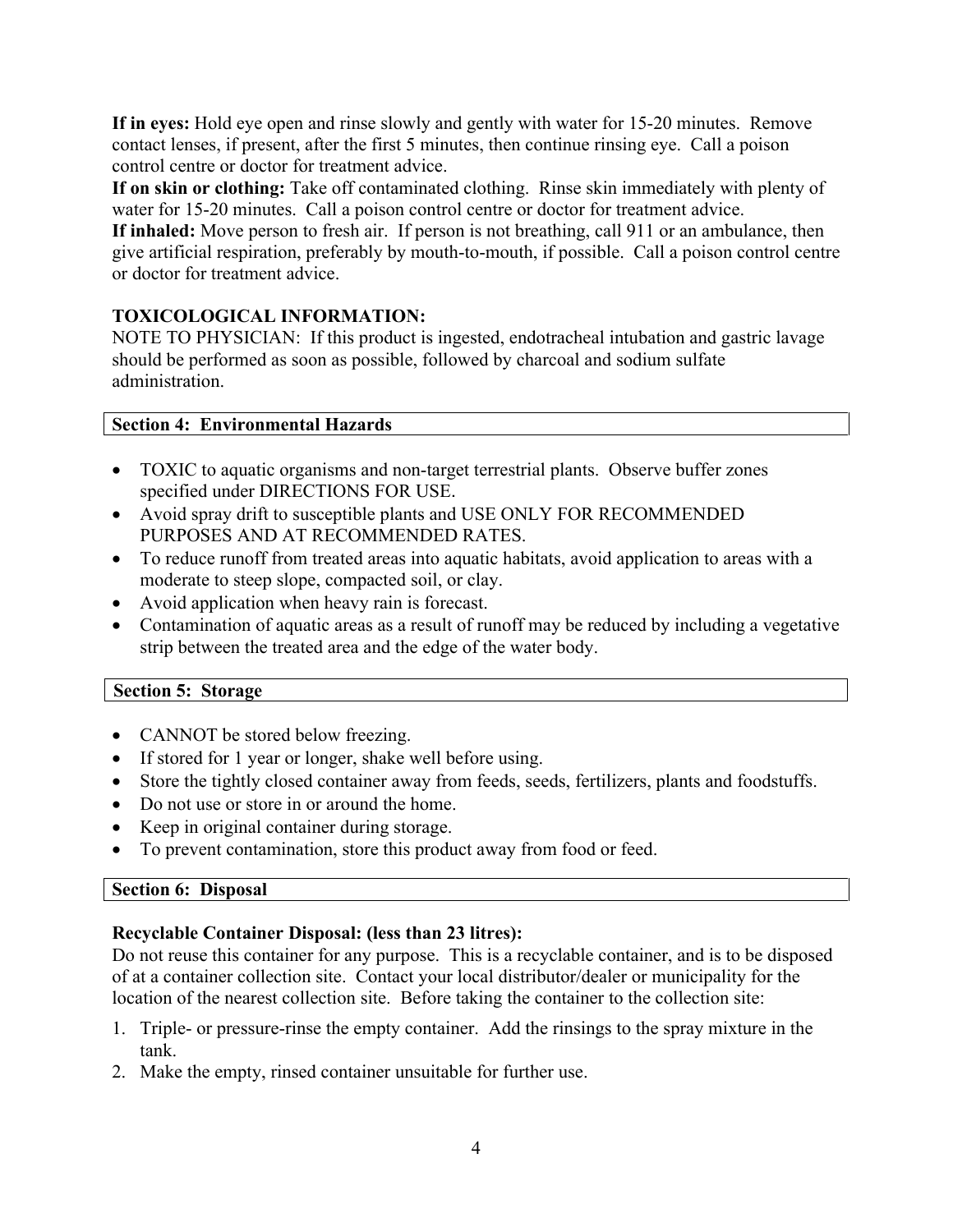**If in eyes:** Hold eye open and rinse slowly and gently with water for 15-20 minutes. Remove contact lenses, if present, after the first 5 minutes, then continue rinsing eye. Call a poison control centre or doctor for treatment advice.

**If on skin or clothing:** Take off contaminated clothing. Rinse skin immediately with plenty of water for 15-20 minutes. Call a poison control centre or doctor for treatment advice.

**If inhaled:** Move person to fresh air. If person is not breathing, call 911 or an ambulance, then give artificial respiration, preferably by mouth-to-mouth, if possible. Call a poison control centre or doctor for treatment advice.

# **TOXICOLOGICAL INFORMATION:**

NOTE TO PHYSICIAN: If this product is ingested, endotracheal intubation and gastric lavage should be performed as soon as possible, followed by charcoal and sodium sulfate administration.

#### **Section 4: Environmental Hazards**

- TOXIC to aquatic organisms and non-target terrestrial plants. Observe buffer zones specified under DIRECTIONS FOR USE.
- Avoid spray drift to susceptible plants and USE ONLY FOR RECOMMENDED PURPOSES AND AT RECOMMENDED RATES.
- To reduce runoff from treated areas into aquatic habitats, avoid application to areas with a moderate to steep slope, compacted soil, or clay.
- Avoid application when heavy rain is forecast.
- Contamination of aquatic areas as a result of runoff may be reduced by including a vegetative strip between the treated area and the edge of the water body.

## **Section 5: Storage**

- CANNOT be stored below freezing.
- If stored for 1 year or longer, shake well before using.
- Store the tightly closed container away from feeds, seeds, fertilizers, plants and foodstuffs.
- Do not use or store in or around the home.
- Keep in original container during storage.
- To prevent contamination, store this product away from food or feed.

#### **Section 6: Disposal**

## **Recyclable Container Disposal: (less than 23 litres):**

Do not reuse this container for any purpose. This is a recyclable container, and is to be disposed of at a container collection site. Contact your local distributor/dealer or municipality for the location of the nearest collection site. Before taking the container to the collection site:

- 1. Triple- or pressure-rinse the empty container. Add the rinsings to the spray mixture in the tank.
- 2. Make the empty, rinsed container unsuitable for further use.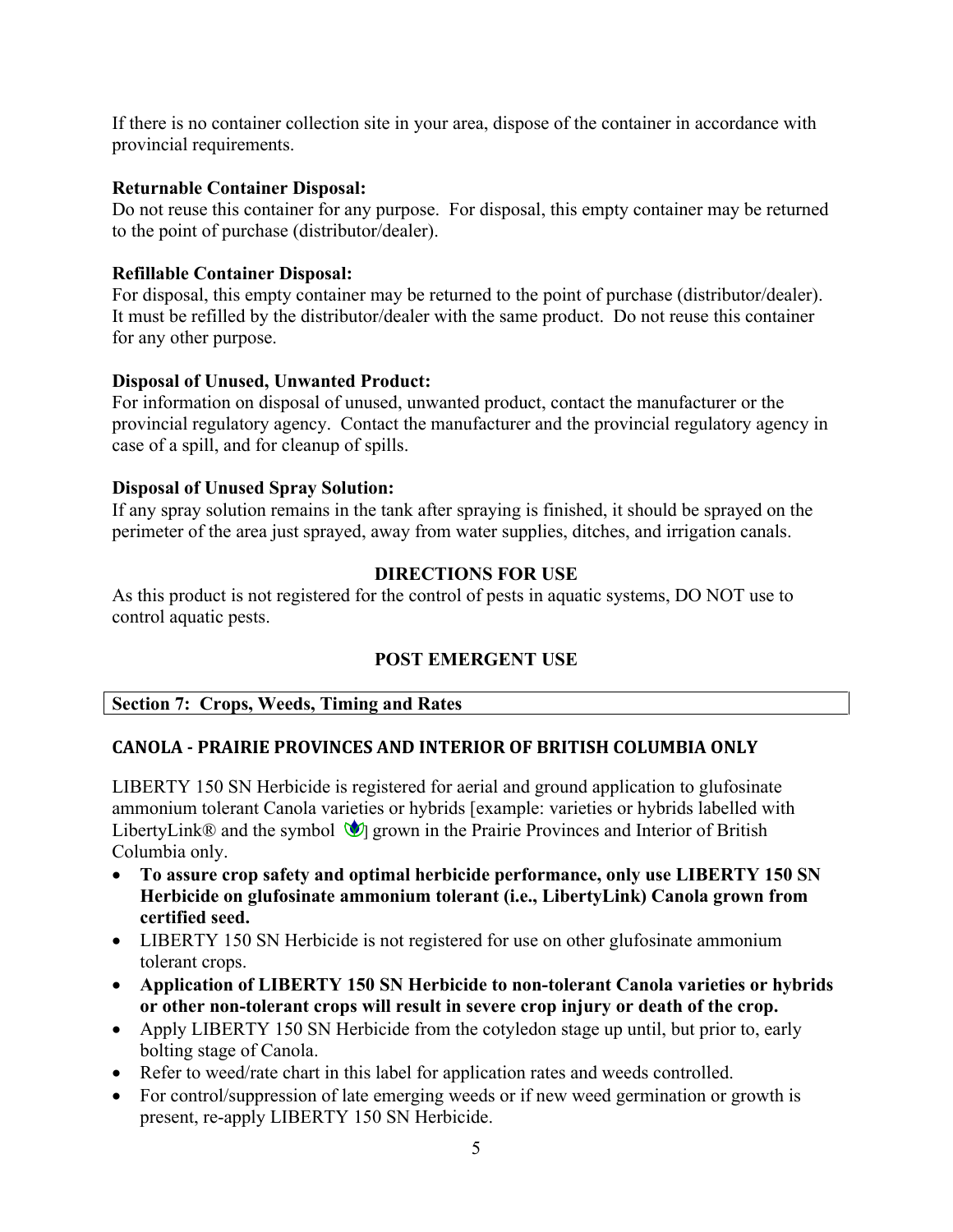If there is no container collection site in your area, dispose of the container in accordance with provincial requirements.

#### **Returnable Container Disposal:**

Do not reuse this container for any purpose. For disposal, this empty container may be returned to the point of purchase (distributor/dealer).

## **Refillable Container Disposal:**

For disposal, this empty container may be returned to the point of purchase (distributor/dealer). It must be refilled by the distributor/dealer with the same product. Do not reuse this container for any other purpose.

#### **Disposal of Unused, Unwanted Product:**

For information on disposal of unused, unwanted product, contact the manufacturer or the provincial regulatory agency. Contact the manufacturer and the provincial regulatory agency in case of a spill, and for cleanup of spills.

#### **Disposal of Unused Spray Solution:**

If any spray solution remains in the tank after spraying is finished, it should be sprayed on the perimeter of the area just sprayed, away from water supplies, ditches, and irrigation canals.

## **DIRECTIONS FOR USE**

As this product is not registered for the control of pests in aquatic systems, DO NOT use to control aquatic pests.

# **POST EMERGENT USE**

## **Section 7: Crops, Weeds, Timing and Rates**

## **CANOLA - PRAIRIE PROVINCES AND INTERIOR OF BRITISH COLUMBIA ONLY**

LIBERTY 150 SN Herbicide is registered for aerial and ground application to glufosinate ammonium tolerant Canola varieties or hybrids [example: varieties or hybrids labelled with LibertyLink® and the symbol  $\mathcal{V}_1$  grown in the Prairie Provinces and Interior of British Columbia only.

- **To assure crop safety and optimal herbicide performance, only use LIBERTY 150 SN Herbicide on glufosinate ammonium tolerant (i.e., LibertyLink) Canola grown from certified seed.**
- LIBERTY 150 SN Herbicide is not registered for use on other glufosinate ammonium tolerant crops.
- **Application of LIBERTY 150 SN Herbicide to non-tolerant Canola varieties or hybrids or other non-tolerant crops will result in severe crop injury or death of the crop.**
- Apply LIBERTY 150 SN Herbicide from the cotyledon stage up until, but prior to, early bolting stage of Canola.
- Refer to weed/rate chart in this label for application rates and weeds controlled.
- For control/suppression of late emerging weeds or if new weed germination or growth is present, re-apply LIBERTY 150 SN Herbicide.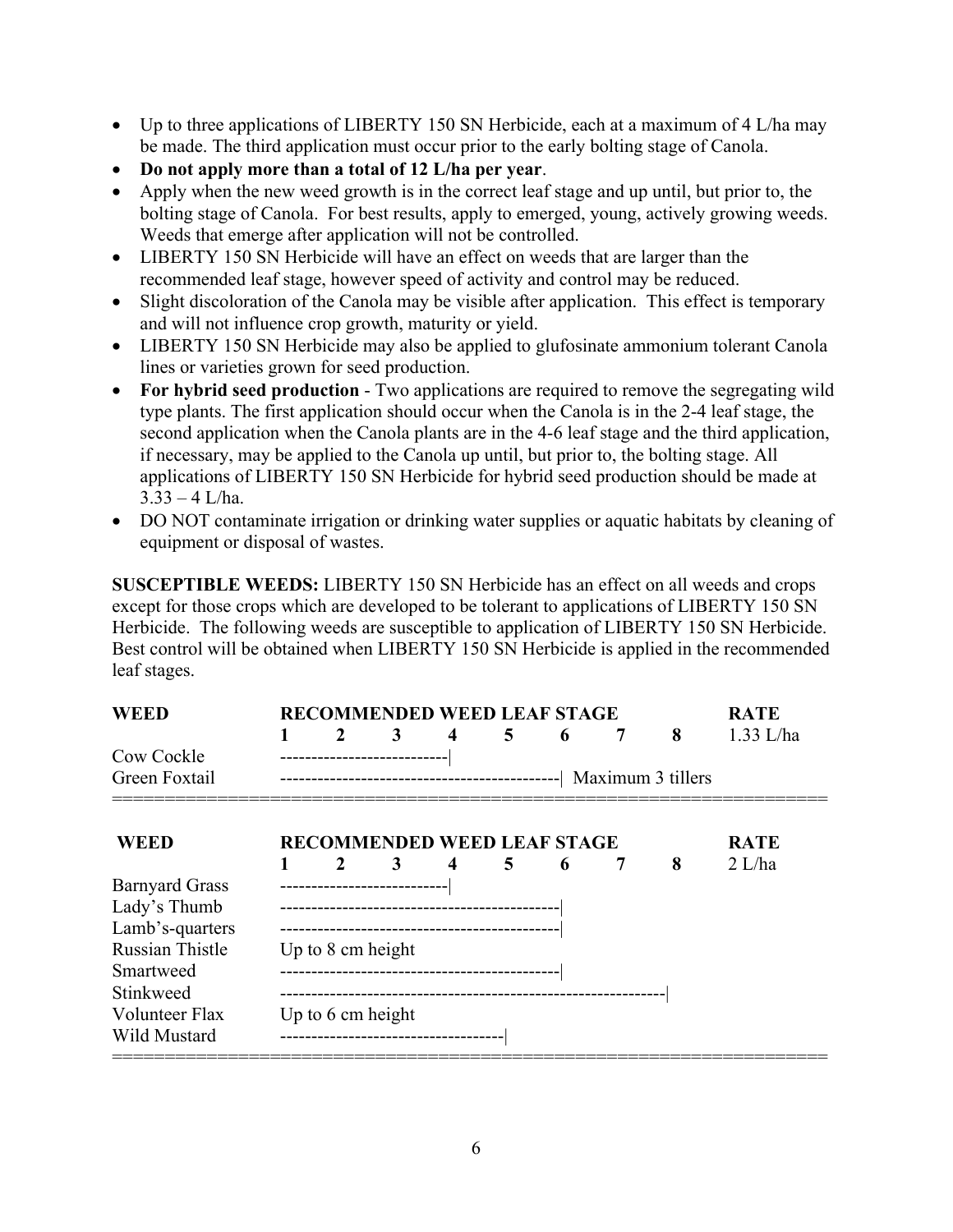- Up to three applications of LIBERTY 150 SN Herbicide, each at a maximum of 4 L/ha may be made. The third application must occur prior to the early bolting stage of Canola.
- **Do not apply more than a total of 12 L/ha per year**.
- Apply when the new weed growth is in the correct leaf stage and up until, but prior to, the bolting stage of Canola. For best results, apply to emerged, young, actively growing weeds. Weeds that emerge after application will not be controlled.
- LIBERTY 150 SN Herbicide will have an effect on weeds that are larger than the recommended leaf stage, however speed of activity and control may be reduced.
- Slight discoloration of the Canola may be visible after application. This effect is temporary and will not influence crop growth, maturity or yield.
- LIBERTY 150 SN Herbicide may also be applied to glufosinate ammonium tolerant Canola lines or varieties grown for seed production.
- For hybrid seed production Two applications are required to remove the segregating wild type plants. The first application should occur when the Canola is in the 2-4 leaf stage, the second application when the Canola plants are in the 4-6 leaf stage and the third application, if necessary, may be applied to the Canola up until, but prior to, the bolting stage. All applications of LIBERTY 150 SN Herbicide for hybrid seed production should be made at  $3.33 - 4$  L/ha.
- DO NOT contaminate irrigation or drinking water supplies or aquatic habitats by cleaning of equipment or disposal of wastes.

**SUSCEPTIBLE WEEDS:** LIBERTY 150 SN Herbicide has an effect on all weeds and crops except for those crops which are developed to be tolerant to applications of LIBERTY 150 SN Herbicide. The following weeds are susceptible to application of LIBERTY 150 SN Herbicide. Best control will be obtained when LIBERTY 150 SN Herbicide is applied in the recommended leaf stages.

| <b>WEED</b>            | <b>RECOMMENDED WEED LEAF STAGE</b> |                   |                                     |                     |   |   |   | <b>RATE</b> |             |
|------------------------|------------------------------------|-------------------|-------------------------------------|---------------------|---|---|---|-------------|-------------|
|                        | 1                                  | 2                 | 3                                   | $\overline{\bf{4}}$ | 5 | 6 | 7 | 8           | $1.33$ L/ha |
| Cow Cockle             |                                    |                   |                                     |                     |   |   |   |             |             |
| Green Foxtail          |                                    |                   |                                     |                     |   |   |   |             |             |
| <b>WEED</b>            |                                    |                   | <b>RECOMMENDED WEED LEAF STAGE</b>  |                     |   |   |   |             | <b>RATE</b> |
|                        |                                    | $\mathbf{2}$      | 3                                   | $\boldsymbol{4}$    | 5 | 6 |   | 8           | 2 L/ha      |
| <b>Barnyard Grass</b>  |                                    |                   | --------------------------          |                     |   |   |   |             |             |
| Lady's Thumb           |                                    |                   |                                     |                     |   |   |   |             |             |
| Lamb's-quarters        |                                    |                   |                                     |                     |   |   |   |             |             |
| <b>Russian Thistle</b> | Up to 8 cm height                  |                   |                                     |                     |   |   |   |             |             |
| Smartweed              |                                    |                   |                                     |                     |   |   |   |             |             |
| Stinkweed              |                                    |                   |                                     |                     |   |   |   |             |             |
| Volunteer Flax         |                                    | Up to 6 cm height |                                     |                     |   |   |   |             |             |
| Wild Mustard           |                                    |                   | ----------------------------------- |                     |   |   |   |             |             |
|                        |                                    |                   |                                     |                     |   |   |   |             |             |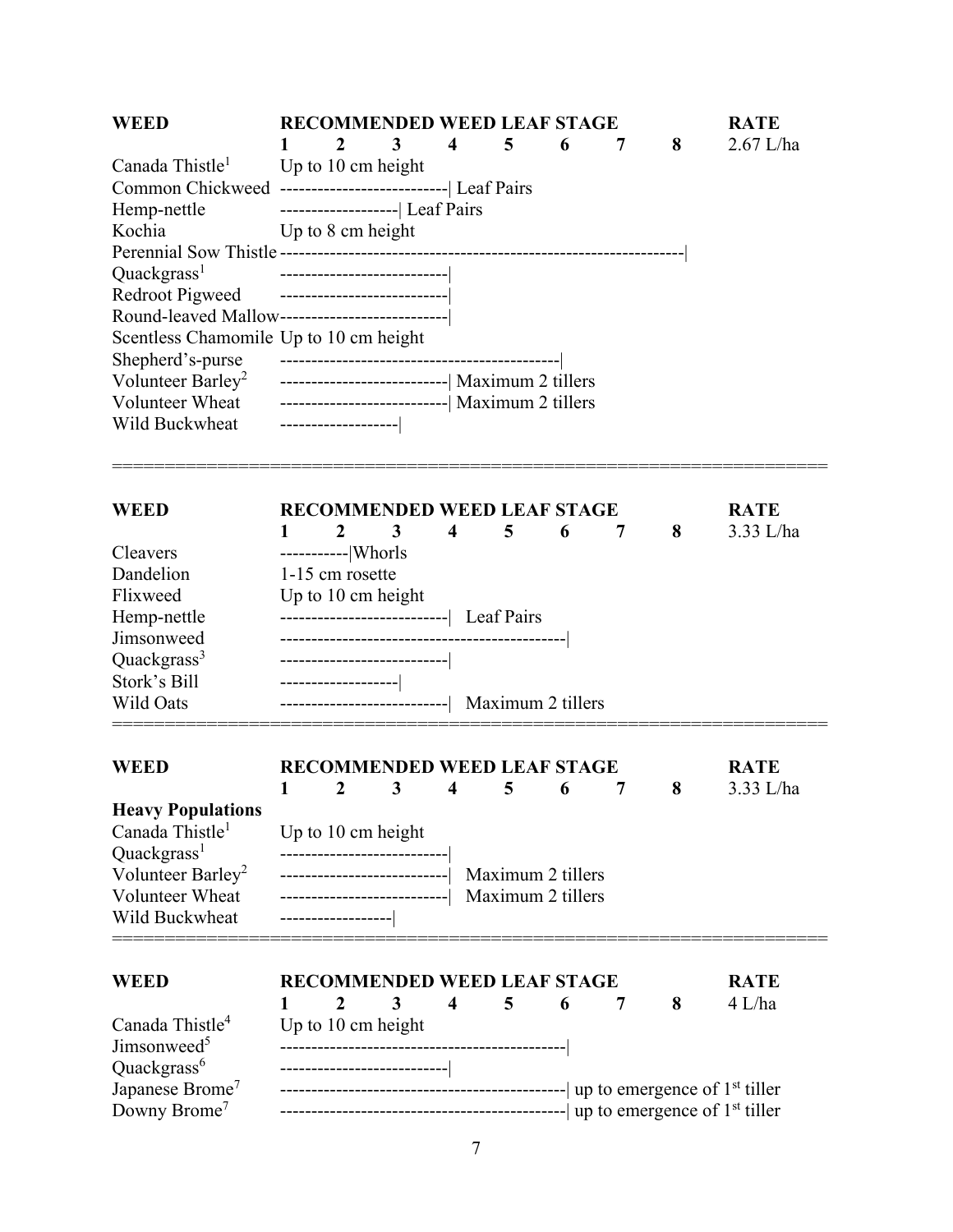| <b>WEED</b>                                                                                     |                     | <b>RECOMMENDED WEED LEAF STAGE</b>              |                         |                   |   |   |   | <b>RATE</b> |
|-------------------------------------------------------------------------------------------------|---------------------|-------------------------------------------------|-------------------------|-------------------|---|---|---|-------------|
| Canada Thistle <sup>1</sup>                                                                     | Up to 10 cm height  | 3                                               | 4                       | 5                 | 6 | 7 | 8 | $2.67$ L/ha |
| Common Chickweed -------------------------------  Leaf Pairs                                    |                     |                                                 |                         |                   |   |   |   |             |
| Hemp-nettle                                                                                     |                     | --------------------  Leaf Pairs                |                         |                   |   |   |   |             |
| Kochia                                                                                          | Up to 8 cm height   |                                                 |                         |                   |   |   |   |             |
|                                                                                                 |                     |                                                 |                         |                   |   |   |   |             |
| Quackgrass <sup>1</sup>                                                                         |                     | --------------------------                      |                         |                   |   |   |   |             |
| Redroot Pigweed ----------------------------<br>Round-leaved Mallow---------------------------- |                     |                                                 |                         |                   |   |   |   |             |
| Scentless Chamomile Up to 10 cm height                                                          |                     |                                                 |                         |                   |   |   |   |             |
| Shepherd's-purse                                                                                |                     |                                                 |                         |                   |   |   |   |             |
| Volunteer Barley <sup>2</sup> -----------------------------------  Maximum 2 tillers            |                     |                                                 |                         |                   |   |   |   |             |
| Volunteer Wheat --------------------------------  Maximum 2 tillers                             |                     |                                                 |                         |                   |   |   |   |             |
| Wild Buckwheat                                                                                  | ------------------  |                                                 |                         |                   |   |   |   |             |
| <b>WEED</b>                                                                                     |                     | <b>RECOMMENDED WEED LEAF STAGE</b>              |                         |                   |   |   |   | <b>RATE</b> |
|                                                                                                 | $\mathbf{1}$        | $\overline{2}$<br>3                             | $\overline{\mathbf{4}}$ | 5                 | 6 | 7 | 8 | 3.33 L/ha   |
| Cleavers                                                                                        | ------------ Whorls |                                                 |                         |                   |   |   |   |             |
| Dandelion                                                                                       | 1-15 cm rosette     |                                                 |                         |                   |   |   |   |             |
| Flixweed                                                                                        | Up to 10 cm height  |                                                 |                         |                   |   |   |   |             |
| Hemp-nettle                                                                                     |                     | -------------------------------  Leaf Pairs     |                         |                   |   |   |   |             |
| Jimsonweed                                                                                      |                     |                                                 |                         |                   |   |   |   |             |
| Quackgrass <sup>3</sup>                                                                         |                     |                                                 |                         |                   |   |   |   |             |
| Stork's Bill<br>Wild Oats                                                                       | ------------------- | ----------------------------  Maximum 2 tillers |                         |                   |   |   |   |             |
|                                                                                                 |                     |                                                 |                         |                   |   |   |   |             |
| <b>WEED</b>                                                                                     |                     | <b>RECOMMENDED WEED LEAF STAGE</b>              |                         |                   |   |   |   | <b>RATE</b> |
| <b>Heavy Populations</b>                                                                        | $\boldsymbol{2}$    | 3                                               | $\overline{\mathbf{4}}$ | 5                 | 6 | 7 | 8 | 3.33 L/ha   |
| Canada Thistle <sup>1</sup>                                                                     | Up to 10 cm height  |                                                 |                         |                   |   |   |   |             |
| Quackgrass <sup>1</sup>                                                                         |                     | --------------------------                      |                         |                   |   |   |   |             |
| Volunteer Barley <sup>2</sup>                                                                   |                     | --------------------------                      |                         | Maximum 2 tillers |   |   |   |             |
| Volunteer Wheat                                                                                 |                     | ---------------------------                     |                         | Maximum 2 tillers |   |   |   |             |
| Wild Buckwheat                                                                                  | ------------------  |                                                 |                         |                   |   |   |   |             |
| <b>WEED</b>                                                                                     |                     | <b>RECOMMENDED WEED LEAF STAGE</b>              |                         |                   |   |   |   | <b>RATE</b> |
|                                                                                                 | 2<br>1              | 3                                               | 4                       | 5                 | 6 | 7 | 8 | $4$ L/ha    |
| Canada Thistle <sup>4</sup>                                                                     |                     | Up to 10 cm height                              |                         |                   |   |   |   |             |
| Jimsonweed <sup>5</sup>                                                                         |                     |                                                 |                         |                   |   |   |   |             |
| Quackgrass <sup>6</sup>                                                                         |                     | --------------------------                      |                         |                   |   |   |   |             |
| Japanese Brome <sup>7</sup>                                                                     |                     |                                                 |                         |                   |   |   |   |             |
| Downy Brome <sup>7</sup>                                                                        |                     |                                                 |                         |                   |   |   |   |             |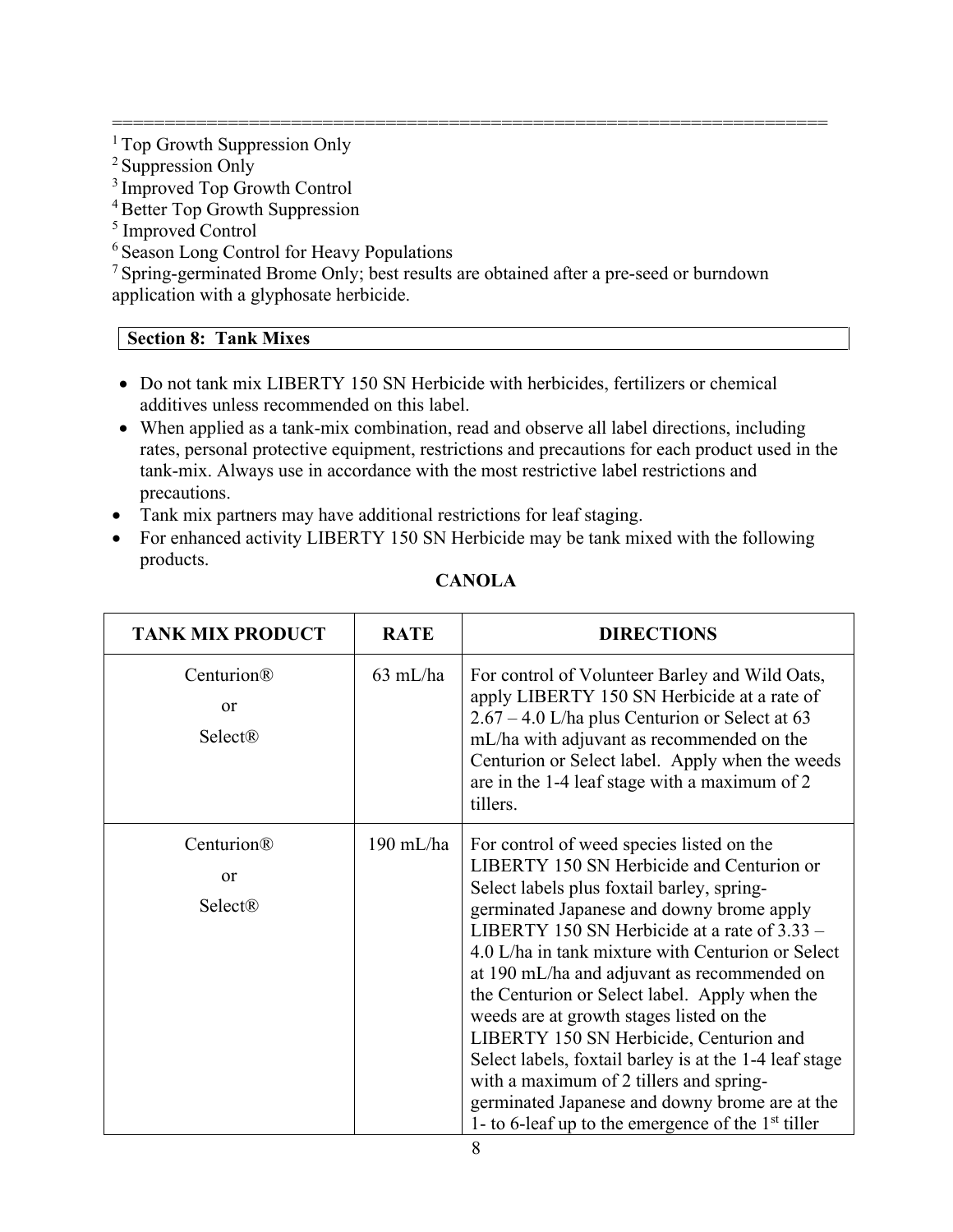==================================================================== <sup>1</sup> Top Growth Suppression Only

 $2$  Suppression Only

3 Improved Top Growth Control

- 4 Better Top Growth Suppression
- <sup>5</sup> Improved Control
- <sup>6</sup> Season Long Control for Heavy Populations

<sup>7</sup> Spring-germinated Brome Only; best results are obtained after a pre-seed or burndown application with a glyphosate herbicide.

#### **Section 8: Tank Mixes**

- Do not tank mix LIBERTY 150 SN Herbicide with herbicides, fertilizers or chemical additives unless recommended on this label.
- When applied as a tank-mix combination, read and observe all label directions, including rates, personal protective equipment, restrictions and precautions for each product used in the tank-mix. Always use in accordance with the most restrictive label restrictions and precautions.
- Tank mix partners may have additional restrictions for leaf staging.
- For enhanced activity LIBERTY 150 SN Herbicide may be tank mixed with the following products.

| <b>TANK MIX PRODUCT</b>                | <b>RATE</b> | <b>DIRECTIONS</b>                                                                                                                                                                                                                                                                                                                                                                                                                                                                                                                                                                                                                                                                              |
|----------------------------------------|-------------|------------------------------------------------------------------------------------------------------------------------------------------------------------------------------------------------------------------------------------------------------------------------------------------------------------------------------------------------------------------------------------------------------------------------------------------------------------------------------------------------------------------------------------------------------------------------------------------------------------------------------------------------------------------------------------------------|
| Centurion®<br><sub>or</sub><br>Select® | $63$ mL/ha  | For control of Volunteer Barley and Wild Oats,<br>apply LIBERTY 150 SN Herbicide at a rate of<br>$2.67 - 4.0$ L/ha plus Centurion or Select at 63<br>mL/ha with adjuvant as recommended on the<br>Centurion or Select label. Apply when the weeds<br>are in the 1-4 leaf stage with a maximum of 2<br>tillers.                                                                                                                                                                                                                                                                                                                                                                                 |
| Centurion®<br><sub>or</sub><br>Select® | $190$ mL/ha | For control of weed species listed on the<br>LIBERTY 150 SN Herbicide and Centurion or<br>Select labels plus foxtail barley, spring-<br>germinated Japanese and downy brome apply<br>LIBERTY 150 SN Herbicide at a rate of $3.33 -$<br>4.0 L/ha in tank mixture with Centurion or Select<br>at 190 mL/ha and adjuvant as recommended on<br>the Centurion or Select label. Apply when the<br>weeds are at growth stages listed on the<br>LIBERTY 150 SN Herbicide, Centurion and<br>Select labels, foxtail barley is at the 1-4 leaf stage<br>with a maximum of 2 tillers and spring-<br>germinated Japanese and downy brome are at the<br>1- to 6-leaf up to the emergence of the $1st$ tiller |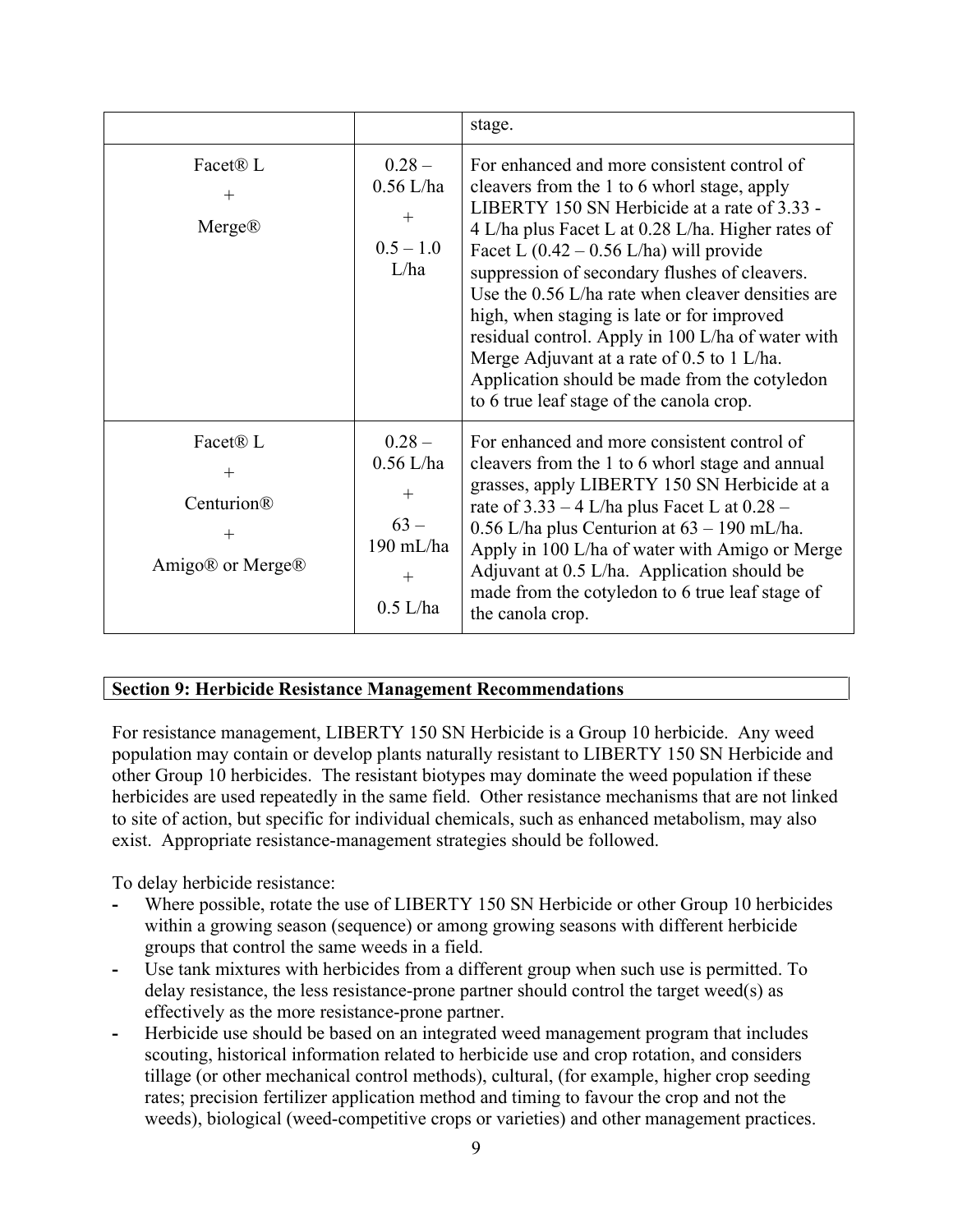|                                                                                                 |                                                                               | stage.                                                                                                                                                                                                                                                                                                                                                                                                                                                                                                                                                                                                   |
|-------------------------------------------------------------------------------------------------|-------------------------------------------------------------------------------|----------------------------------------------------------------------------------------------------------------------------------------------------------------------------------------------------------------------------------------------------------------------------------------------------------------------------------------------------------------------------------------------------------------------------------------------------------------------------------------------------------------------------------------------------------------------------------------------------------|
| Facet <sup>®</sup> L<br>$^{+}$<br>Merge®                                                        | $0.28 -$<br>$0.56$ L/ha<br>$+$<br>$0.5 - 1.0$<br>L/ha                         | For enhanced and more consistent control of<br>cleavers from the 1 to 6 whorl stage, apply<br>LIBERTY 150 SN Herbicide at a rate of 3.33 -<br>4 L/ha plus Facet L at 0.28 L/ha. Higher rates of<br>Facet L $(0.42 - 0.56 \text{ L/ha})$ will provide<br>suppression of secondary flushes of cleavers.<br>Use the 0.56 L/ha rate when cleaver densities are<br>high, when staging is late or for improved<br>residual control. Apply in 100 L/ha of water with<br>Merge Adjuvant at a rate of 0.5 to 1 L/ha.<br>Application should be made from the cotyledon<br>to 6 true leaf stage of the canola crop. |
| Facet <sup>®</sup> L<br>$^{+}$<br>Centurion®<br>$+$<br>Amigo <sup>®</sup> or Merge <sup>®</sup> | $0.28 -$<br>$0.56$ L/ha<br>$^{+}$<br>$63 -$<br>190 mL/ha<br>$+$<br>$0.5$ L/ha | For enhanced and more consistent control of<br>cleavers from the 1 to 6 whorl stage and annual<br>grasses, apply LIBERTY 150 SN Herbicide at a<br>rate of $3.33 - 4$ L/ha plus Facet L at $0.28 -$<br>$0.56$ L/ha plus Centurion at $63 - 190$ mL/ha.<br>Apply in 100 L/ha of water with Amigo or Merge<br>Adjuvant at 0.5 L/ha. Application should be<br>made from the cotyledon to 6 true leaf stage of<br>the canola crop.                                                                                                                                                                            |

#### **Section 9: Herbicide Resistance Management Recommendations**

For resistance management, LIBERTY 150 SN Herbicide is a Group 10 herbicide. Any weed population may contain or develop plants naturally resistant to LIBERTY 150 SN Herbicide and other Group 10 herbicides. The resistant biotypes may dominate the weed population if these herbicides are used repeatedly in the same field. Other resistance mechanisms that are not linked to site of action, but specific for individual chemicals, such as enhanced metabolism, may also exist. Appropriate resistance-management strategies should be followed.

To delay herbicide resistance:

- **-** Where possible, rotate the use of LIBERTY 150 SN Herbicide or other Group 10 herbicides within a growing season (sequence) or among growing seasons with different herbicide groups that control the same weeds in a field.
- **-** Use tank mixtures with herbicides from a different group when such use is permitted. To delay resistance, the less resistance-prone partner should control the target weed(s) as effectively as the more resistance-prone partner.
- **-** Herbicide use should be based on an integrated weed management program that includes scouting, historical information related to herbicide use and crop rotation, and considers tillage (or other mechanical control methods), cultural, (for example, higher crop seeding rates; precision fertilizer application method and timing to favour the crop and not the weeds), biological (weed-competitive crops or varieties) and other management practices.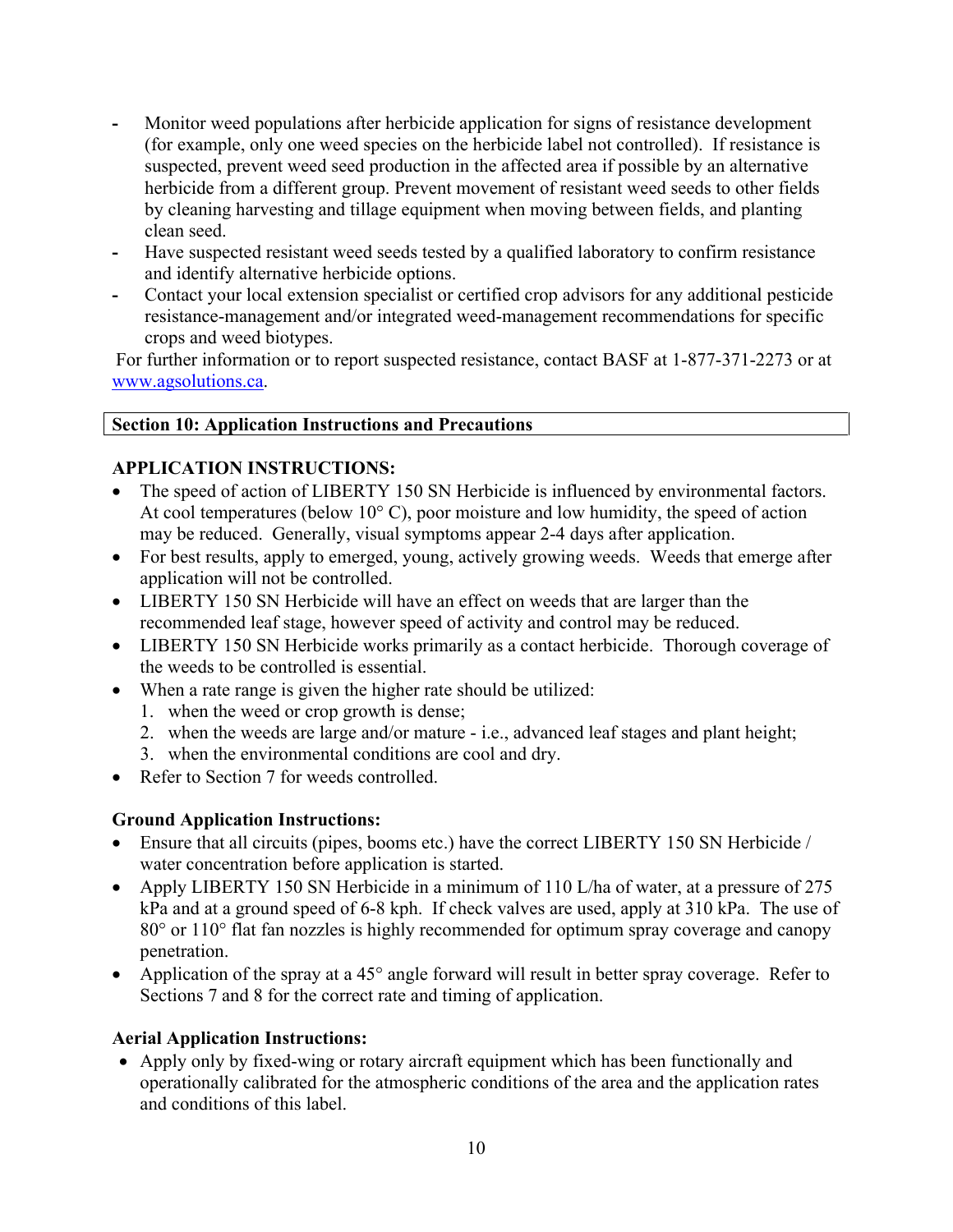- **-** Monitor weed populations after herbicide application for signs of resistance development (for example, only one weed species on the herbicide label not controlled). If resistance is suspected, prevent weed seed production in the affected area if possible by an alternative herbicide from a different group. Prevent movement of resistant weed seeds to other fields by cleaning harvesting and tillage equipment when moving between fields, and planting clean seed.
- **-** Have suspected resistant weed seeds tested by a qualified laboratory to confirm resistance and identify alternative herbicide options.
- **-** Contact your local extension specialist or certified crop advisors for any additional pesticide resistance-management and/or integrated weed-management recommendations for specific crops and weed biotypes.

For further information or to report suspected resistance, contact BASF at 1-877-371-2273 or at [www.agsolutions.ca.](file://BASFAD.BASF.NET/GLOBAL/GLOBAL/2074-BASCA/MISSISSAUGA/AGRO/AGROREG/DATA/ALICE/Approved%20Labels/PMRA%20Approved%20E-Labels/2019/Chris%20Headon/www.agsolutions.ca)

## **Section 10: Application Instructions and Precautions**

# **APPLICATION INSTRUCTIONS:**

- The speed of action of LIBERTY 150 SN Herbicide is influenced by environmental factors. At cool temperatures (below 10° C), poor moisture and low humidity, the speed of action may be reduced. Generally, visual symptoms appear 2-4 days after application.
- For best results, apply to emerged, young, actively growing weeds. Weeds that emerge after application will not be controlled.
- LIBERTY 150 SN Herbicide will have an effect on weeds that are larger than the recommended leaf stage, however speed of activity and control may be reduced.
- LIBERTY 150 SN Herbicide works primarily as a contact herbicide. Thorough coverage of the weeds to be controlled is essential.
- When a rate range is given the higher rate should be utilized:
	- 1. when the weed or crop growth is dense;
	- 2. when the weeds are large and/or mature i.e., advanced leaf stages and plant height;
	- 3. when the environmental conditions are cool and dry.
- Refer to Section 7 for weeds controlled.

# **Ground Application Instructions:**

- Ensure that all circuits (pipes, booms etc.) have the correct LIBERTY 150 SN Herbicide / water concentration before application is started.
- Apply LIBERTY 150 SN Herbicide in a minimum of 110 L/ha of water, at a pressure of 275 kPa and at a ground speed of 6-8 kph. If check valves are used, apply at 310 kPa. The use of 80° or 110° flat fan nozzles is highly recommended for optimum spray coverage and canopy penetration.
- Application of the spray at a 45° angle forward will result in better spray coverage. Refer to Sections 7 and 8 for the correct rate and timing of application.

# **Aerial Application Instructions:**

• Apply only by fixed-wing or rotary aircraft equipment which has been functionally and operationally calibrated for the atmospheric conditions of the area and the application rates and conditions of this label.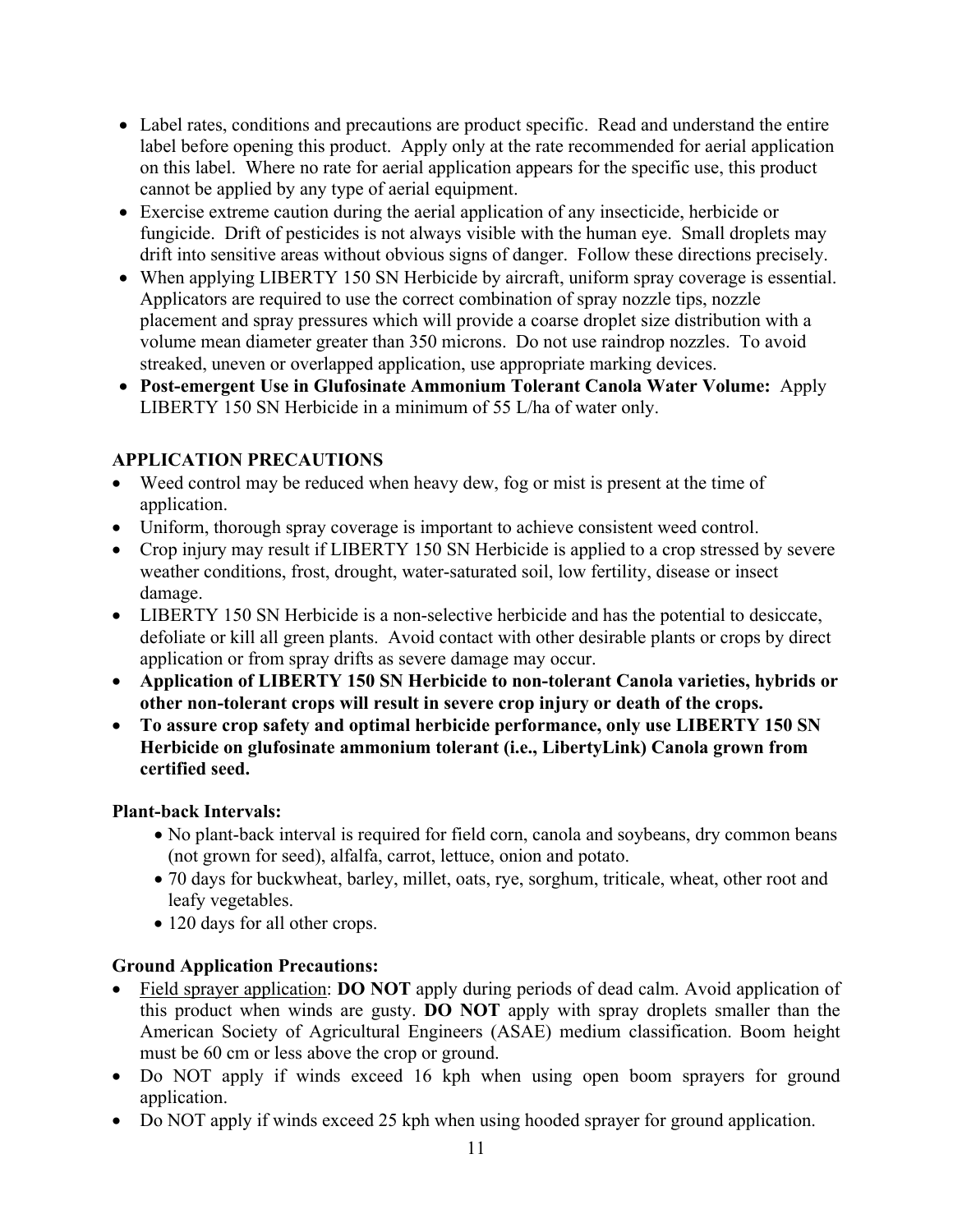- Label rates, conditions and precautions are product specific. Read and understand the entire label before opening this product. Apply only at the rate recommended for aerial application on this label. Where no rate for aerial application appears for the specific use, this product cannot be applied by any type of aerial equipment.
- Exercise extreme caution during the aerial application of any insecticide, herbicide or fungicide. Drift of pesticides is not always visible with the human eye. Small droplets may drift into sensitive areas without obvious signs of danger. Follow these directions precisely.
- When applying LIBERTY 150 SN Herbicide by aircraft, uniform spray coverage is essential. Applicators are required to use the correct combination of spray nozzle tips, nozzle placement and spray pressures which will provide a coarse droplet size distribution with a volume mean diameter greater than 350 microns. Do not use raindrop nozzles. To avoid streaked, uneven or overlapped application, use appropriate marking devices.
- **Post-emergent Use in Glufosinate Ammonium Tolerant Canola Water Volume:** Apply LIBERTY 150 SN Herbicide in a minimum of 55 L/ha of water only.

# **APPLICATION PRECAUTIONS**

- Weed control may be reduced when heavy dew, fog or mist is present at the time of application.
- Uniform, thorough spray coverage is important to achieve consistent weed control.
- Crop injury may result if LIBERTY 150 SN Herbicide is applied to a crop stressed by severe weather conditions, frost, drought, water-saturated soil, low fertility, disease or insect damage.
- LIBERTY 150 SN Herbicide is a non-selective herbicide and has the potential to desiccate, defoliate or kill all green plants. Avoid contact with other desirable plants or crops by direct application or from spray drifts as severe damage may occur.
- **Application of LIBERTY 150 SN Herbicide to non-tolerant Canola varieties, hybrids or other non-tolerant crops will result in severe crop injury or death of the crops.**
- **To assure crop safety and optimal herbicide performance, only use LIBERTY 150 SN Herbicide on glufosinate ammonium tolerant (i.e., LibertyLink) Canola grown from certified seed.**

# **Plant-back Intervals:**

- No plant-back interval is required for field corn, canola and soybeans, dry common beans (not grown for seed), alfalfa, carrot, lettuce, onion and potato.
- 70 days for buckwheat, barley, millet, oats, rye, sorghum, triticale, wheat, other root and leafy vegetables.
- 120 days for all other crops.

# **Ground Application Precautions:**

- Field sprayer application: **DO NOT** apply during periods of dead calm. Avoid application of this product when winds are gusty. **DO NOT** apply with spray droplets smaller than the American Society of Agricultural Engineers (ASAE) medium classification. Boom height must be 60 cm or less above the crop or ground.
- Do NOT apply if winds exceed 16 kph when using open boom sprayers for ground application.
- Do NOT apply if winds exceed 25 kph when using hooded sprayer for ground application.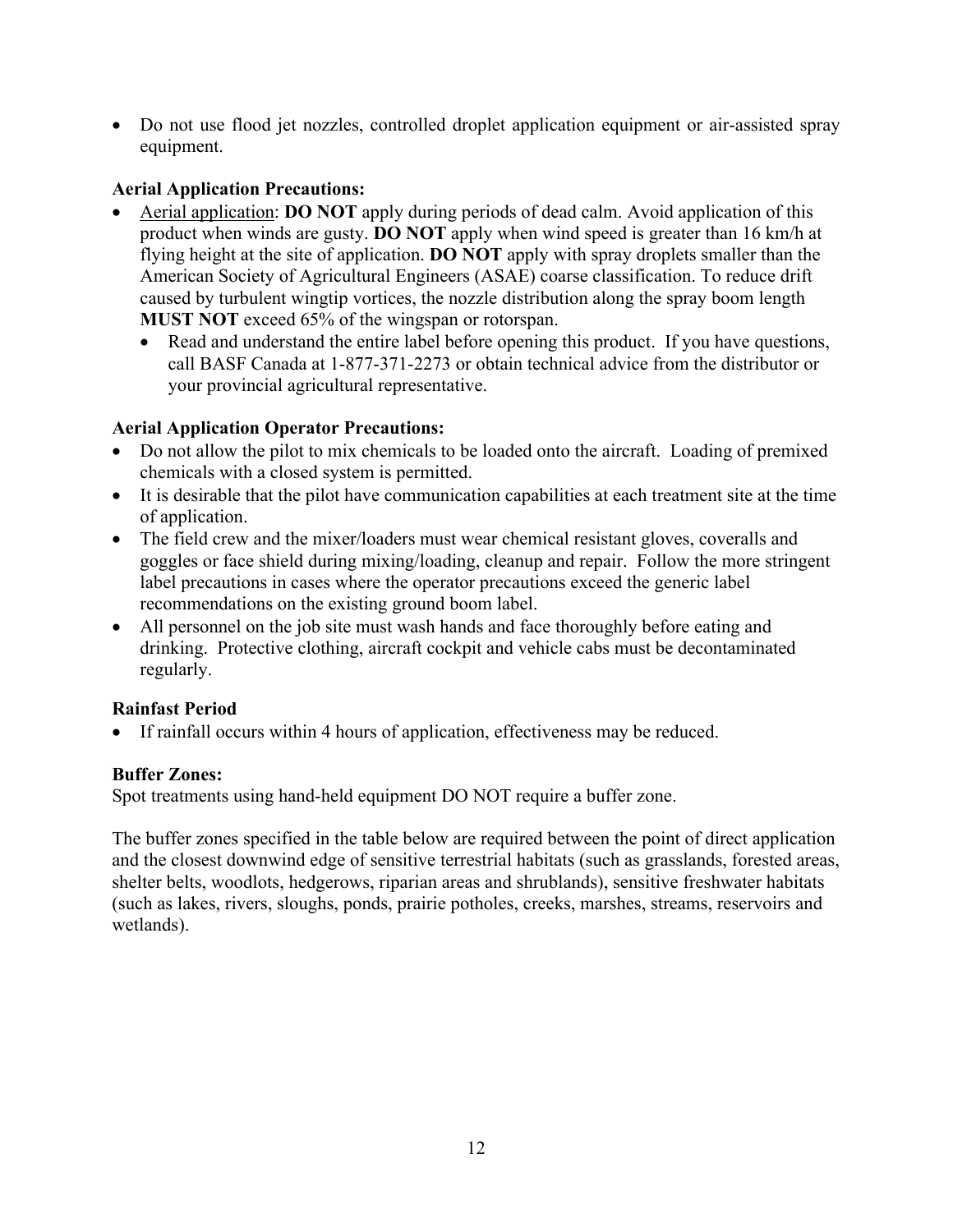• Do not use flood jet nozzles, controlled droplet application equipment or air-assisted spray equipment.

# **Aerial Application Precautions:**

- Aerial application: **DO NOT** apply during periods of dead calm. Avoid application of this product when winds are gusty. **DO NOT** apply when wind speed is greater than 16 km/h at flying height at the site of application. **DO NOT** apply with spray droplets smaller than the American Society of Agricultural Engineers (ASAE) coarse classification. To reduce drift caused by turbulent wingtip vortices, the nozzle distribution along the spray boom length **MUST NOT** exceed 65% of the wingspan or rotorspan.
	- Read and understand the entire label before opening this product. If you have questions, call BASF Canada at 1-877-371-2273 or obtain technical advice from the distributor or your provincial agricultural representative.

# **Aerial Application Operator Precautions:**

- Do not allow the pilot to mix chemicals to be loaded onto the aircraft. Loading of premixed chemicals with a closed system is permitted.
- It is desirable that the pilot have communication capabilities at each treatment site at the time of application.
- The field crew and the mixer/loaders must wear chemical resistant gloves, coveralls and goggles or face shield during mixing/loading, cleanup and repair. Follow the more stringent label precautions in cases where the operator precautions exceed the generic label recommendations on the existing ground boom label.
- All personnel on the job site must wash hands and face thoroughly before eating and drinking. Protective clothing, aircraft cockpit and vehicle cabs must be decontaminated regularly.

# **Rainfast Period**

• If rainfall occurs within 4 hours of application, effectiveness may be reduced.

# **Buffer Zones:**

Spot treatments using hand-held equipment DO NOT require a buffer zone.

The buffer zones specified in the table below are required between the point of direct application and the closest downwind edge of sensitive terrestrial habitats (such as grasslands, forested areas, shelter belts, woodlots, hedgerows, riparian areas and shrublands), sensitive freshwater habitats (such as lakes, rivers, sloughs, ponds, prairie potholes, creeks, marshes, streams, reservoirs and wetlands).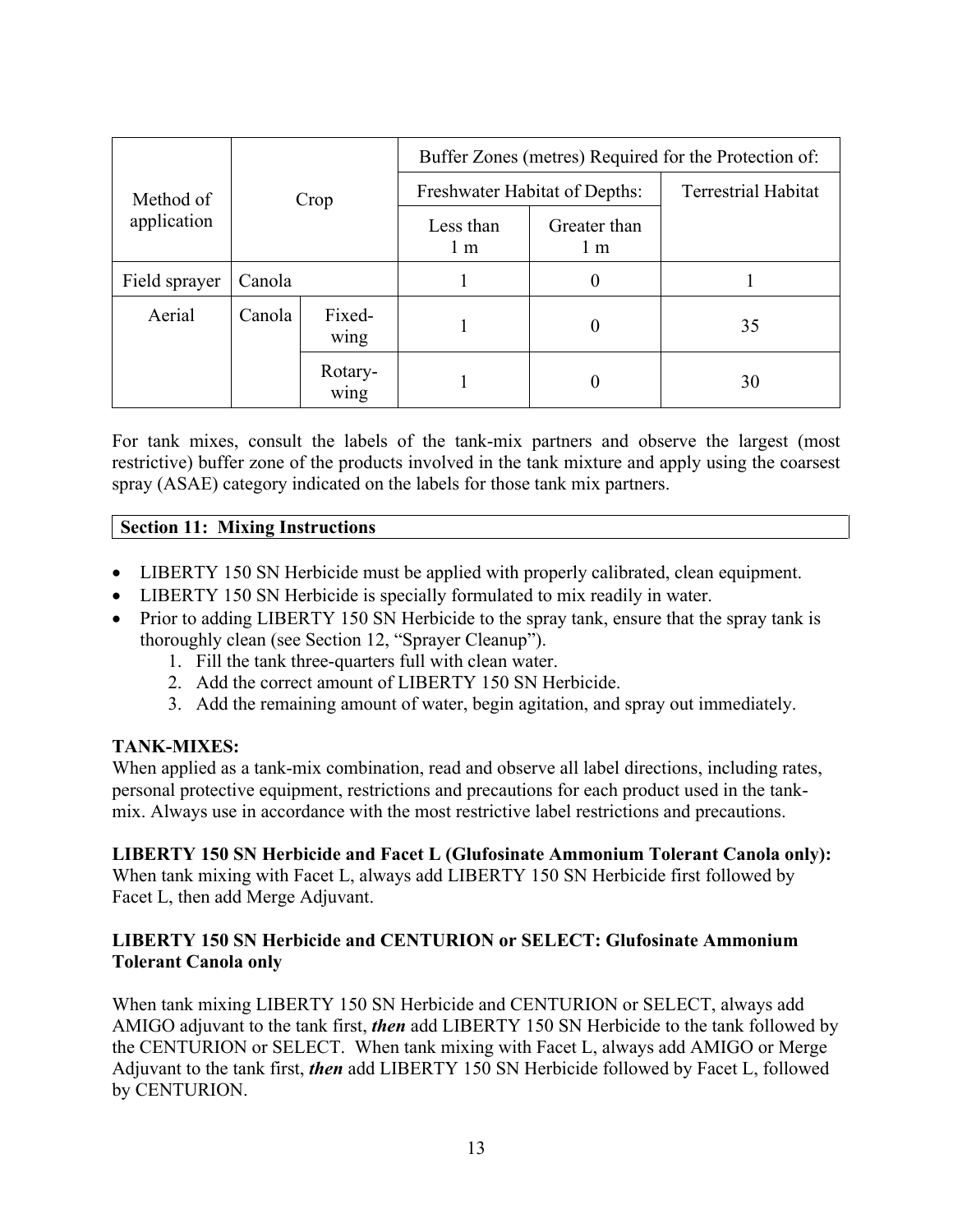|               | Crop   |                     | Buffer Zones (metres) Required for the Protection of: |                            |    |  |  |
|---------------|--------|---------------------|-------------------------------------------------------|----------------------------|----|--|--|
| Method of     |        |                     | Freshwater Habitat of Depths:                         | <b>Terrestrial Habitat</b> |    |  |  |
| application   |        |                     | Less than<br>1 <sub>m</sub>                           | Greater than<br>1 m        |    |  |  |
| Field sprayer | Canola |                     |                                                       | 0                          |    |  |  |
| Aerial        | Canola | Fixed-<br>0<br>wing |                                                       |                            | 35 |  |  |
|               |        | Rotary-<br>wing     |                                                       | $\theta$                   | 30 |  |  |

For tank mixes, consult the labels of the tank-mix partners and observe the largest (most restrictive) buffer zone of the products involved in the tank mixture and apply using the coarsest spray (ASAE) category indicated on the labels for those tank mix partners.

## **Section 11: Mixing Instructions**

- LIBERTY 150 SN Herbicide must be applied with properly calibrated, clean equipment.
- LIBERTY 150 SN Herbicide is specially formulated to mix readily in water.
- Prior to adding LIBERTY 150 SN Herbicide to the spray tank, ensure that the spray tank is thoroughly clean (see Section 12, "Sprayer Cleanup").
	- 1. Fill the tank three-quarters full with clean water.
	- 2. Add the correct amount of LIBERTY 150 SN Herbicide.
	- 3. Add the remaining amount of water, begin agitation, and spray out immediately.

#### **TANK-MIXES:**

When applied as a tank-mix combination, read and observe all label directions, including rates, personal protective equipment, restrictions and precautions for each product used in the tankmix. Always use in accordance with the most restrictive label restrictions and precautions.

#### **LIBERTY 150 SN Herbicide and Facet L (Glufosinate Ammonium Tolerant Canola only):**

When tank mixing with Facet L, always add LIBERTY 150 SN Herbicide first followed by Facet L, then add Merge Adjuvant.

#### **LIBERTY 150 SN Herbicide and CENTURION or SELECT: Glufosinate Ammonium Tolerant Canola only**

When tank mixing LIBERTY 150 SN Herbicide and CENTURION or SELECT, always add AMIGO adjuvant to the tank first, *then* add LIBERTY 150 SN Herbicide to the tank followed by the CENTURION or SELECT. When tank mixing with Facet L, always add AMIGO or Merge Adjuvant to the tank first, *then* add LIBERTY 150 SN Herbicide followed by Facet L, followed by CENTURION.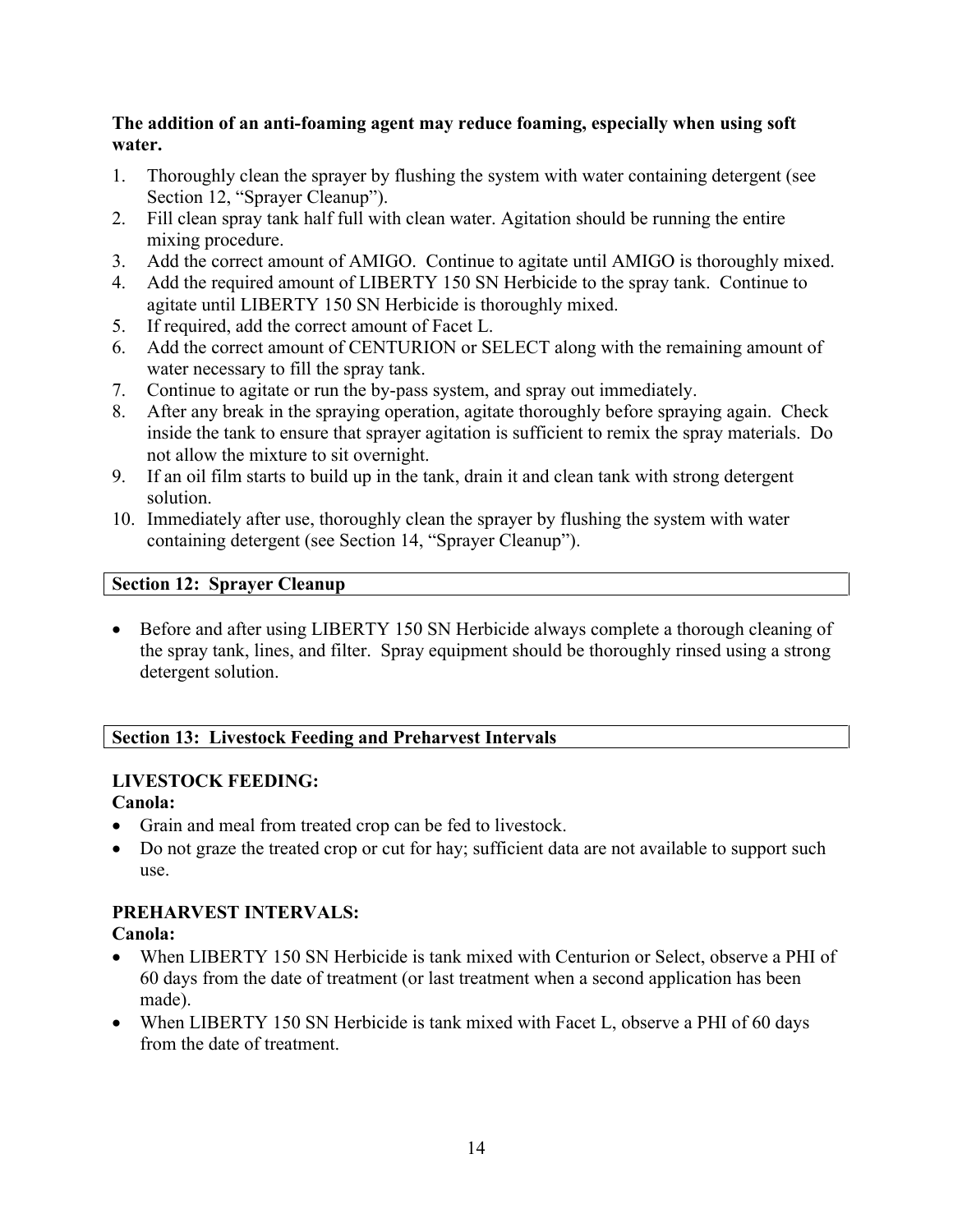## **The addition of an anti-foaming agent may reduce foaming, especially when using soft water.**

- 1. Thoroughly clean the sprayer by flushing the system with water containing detergent (see Section 12, "Sprayer Cleanup").
- 2. Fill clean spray tank half full with clean water. Agitation should be running the entire mixing procedure.
- 3. Add the correct amount of AMIGO. Continue to agitate until AMIGO is thoroughly mixed.
- 4. Add the required amount of LIBERTY 150 SN Herbicide to the spray tank. Continue to agitate until LIBERTY 150 SN Herbicide is thoroughly mixed.
- 5. If required, add the correct amount of Facet L.
- 6. Add the correct amount of CENTURION or SELECT along with the remaining amount of water necessary to fill the spray tank.
- 7. Continue to agitate or run the by-pass system, and spray out immediately.
- 8. After any break in the spraying operation, agitate thoroughly before spraying again. Check inside the tank to ensure that sprayer agitation is sufficient to remix the spray materials. Do not allow the mixture to sit overnight.
- 9. If an oil film starts to build up in the tank, drain it and clean tank with strong detergent solution.
- 10. Immediately after use, thoroughly clean the sprayer by flushing the system with water containing detergent (see Section 14, "Sprayer Cleanup").

# **Section 12: Sprayer Cleanup**

• Before and after using LIBERTY 150 SN Herbicide always complete a thorough cleaning of the spray tank, lines, and filter. Spray equipment should be thoroughly rinsed using a strong detergent solution.

# **Section 13: Livestock Feeding and Preharvest Intervals**

# **LIVESTOCK FEEDING:**

# **Canola:**

- Grain and meal from treated crop can be fed to livestock.
- Do not graze the treated crop or cut for hay; sufficient data are not available to support such use.

# **PREHARVEST INTERVALS:**

# **Canola:**

- When LIBERTY 150 SN Herbicide is tank mixed with Centurion or Select, observe a PHI of 60 days from the date of treatment (or last treatment when a second application has been made).
- When LIBERTY 150 SN Herbicide is tank mixed with Facet L, observe a PHI of 60 days from the date of treatment.